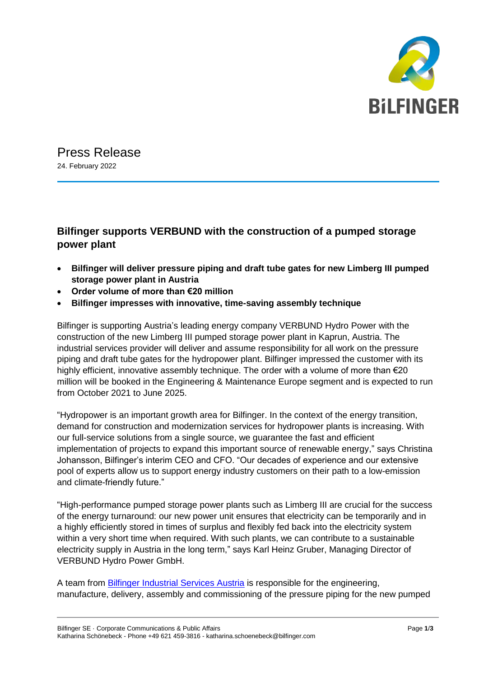

## Press Release 24. February 2022

## **Bilfinger supports VERBUND with the construction of a pumped storage power plant**

- **Bilfinger will deliver pressure piping and draft tube gates for new Limberg III pumped storage power plant in Austria**
- **Order volume of more than €20 million**
- **Bilfinger impresses with innovative, time-saving assembly technique**

Bilfinger is supporting Austria's leading energy company VERBUND Hydro Power with the construction of the new Limberg III pumped storage power plant in Kaprun, Austria. The industrial services provider will deliver and assume responsibility for all work on the pressure piping and draft tube gates for the hydropower plant. Bilfinger impressed the customer with its highly efficient, innovative assembly technique. The order with a volume of more than €20 million will be booked in the Engineering & Maintenance Europe segment and is expected to run from October 2021 to June 2025.

"Hydropower is an important growth area for Bilfinger. In the context of the energy transition, demand for construction and modernization services for hydropower plants is increasing. With our full-service solutions from a single source, we guarantee the fast and efficient implementation of projects to expand this important source of renewable energy," says Christina Johansson, Bilfinger's interim CEO and CFO. "Our decades of experience and our extensive pool of experts allow us to support energy industry customers on their path to a low-emission and climate-friendly future."

"High-performance pumped storage power plants such as Limberg III are crucial for the success of the energy turnaround: our new power unit ensures that electricity can be temporarily and in a highly efficiently stored in times of surplus and flexibly fed back into the electricity system within a very short time when required. With such plants, we can contribute to a sustainable electricity supply in Austria in the long term," says Karl Heinz Gruber, Managing Director of VERBUND Hydro Power GmbH.

A team from [Bilfinger Industrial Services Austria](https://bis-austria.bilfinger.com/en/) is responsible for the engineering, manufacture, delivery, assembly and commissioning of the pressure piping for the new pumped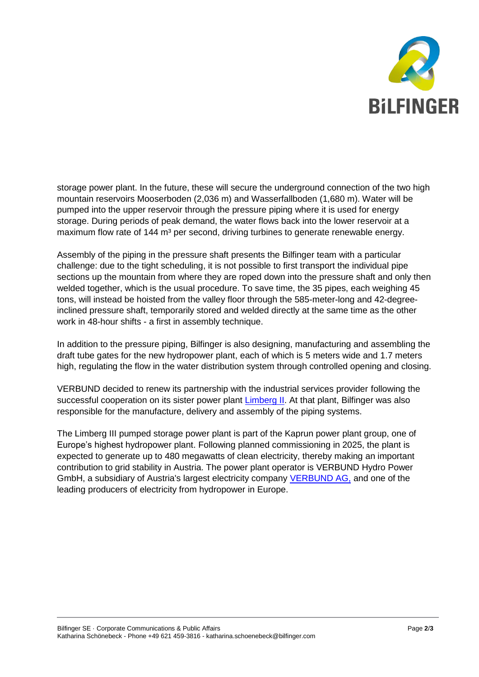

storage power plant. In the future, these will secure the underground connection of the two high mountain reservoirs Mooserboden (2,036 m) and Wasserfallboden (1,680 m). Water will be pumped into the upper reservoir through the pressure piping where it is used for energy storage. During periods of peak demand, the water flows back into the lower reservoir at a maximum flow rate of  $144 \text{ m}^3$  per second, driving turbines to generate renewable energy.

Assembly of the piping in the pressure shaft presents the Bilfinger team with a particular challenge: due to the tight scheduling, it is not possible to first transport the individual pipe sections up the mountain from where they are roped down into the pressure shaft and only then welded together, which is the usual procedure. To save time, the 35 pipes, each weighing 45 tons, will instead be hoisted from the valley floor through the 585-meter-long and 42-degreeinclined pressure shaft, temporarily stored and welded directly at the same time as the other work in 48-hour shifts - a first in assembly technique.

In addition to the pressure piping, Bilfinger is also designing, manufacturing and assembling the draft tube gates for the new hydropower plant, each of which is 5 meters wide and 1.7 meters high, regulating the flow in the water distribution system through controlled opening and closing.

VERBUND decided to renew its partnership with the industrial services provider following the successful cooperation on its sister power plant [Limberg II.](https://www.verbund.com/en-de/about-verbund/power-plants/our-power-plants/kaprun-oberstufe-limberg-2) At that plant, Bilfinger was also responsible for the manufacture, delivery and assembly of the piping systems.

The Limberg III pumped storage power plant is part of the Kaprun power plant group, one of Europe's highest hydropower plant. Following planned commissioning in 2025, the plant is expected to generate up to 480 megawatts of clean electricity, thereby making an important contribution to grid stability in Austria. The power plant operator is VERBUND Hydro Power GmbH, a subsidiary of Austria's largest electricity company [VERBUND AG,](https://www.verbund.com/) and one of the leading producers of electricity from hydropower in Europe.